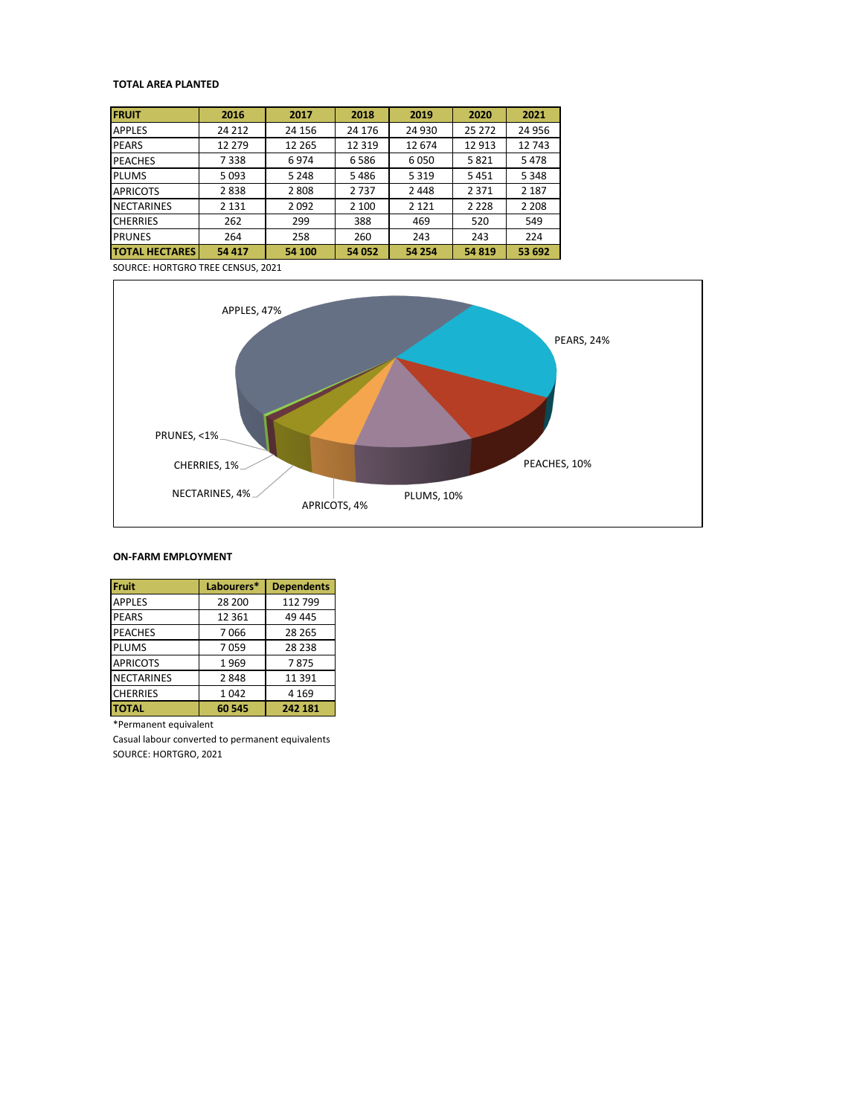## **TOTAL AREA PLANTED**

| <b>FRUIT</b>          | 2016    | 2017    | 2018    | 2019    | 2020    | 2021    |
|-----------------------|---------|---------|---------|---------|---------|---------|
| <b>APPLES</b>         | 24 2 12 | 24 15 6 | 24 176  | 24 930  | 25 272  | 24 956  |
| <b>PEARS</b>          | 12 279  | 12 2 65 | 12 3 19 | 12674   | 12913   | 12743   |
| <b>PEACHES</b>        | 7338    | 6974    | 6586    | 6050    | 5821    | 5478    |
| <b>PLUMS</b>          | 5093    | 5 2 4 8 | 5486    | 5 3 1 9 | 5451    | 5 3 4 8 |
| <b>APRICOTS</b>       | 2838    | 2808    | 2737    | 2448    | 2 3 7 1 | 2 1 8 7 |
| <b>NECTARINES</b>     | 2 1 3 1 | 2092    | 2 100   | 2 1 2 1 | 2 2 2 8 | 2 2 0 8 |
| <b>CHERRIES</b>       | 262     | 299     | 388     | 469     | 520     | 549     |
| <b>PRUNES</b>         | 264     | 258     | 260     | 243     | 243     | 224     |
| <b>TOTAL HECTARES</b> | 54 417  | 54 100  | 54 052  | 54 254  | 54 819  | 53 692  |

SOURCE: HORTGRO TREE CENSUS, 2021



## **ON-FARM EMPLOYMENT**

| Fruit             | Labourers* | <b>Dependents</b> |
|-------------------|------------|-------------------|
| <b>APPLES</b>     | 28 200     | 112 799           |
| <b>PEARS</b>      | 12 3 6 1   | 49 445            |
| <b>PEACHES</b>    | 7066       | 28 2 65           |
| <b>PLUMS</b>      | 7059       | 28 2 38           |
| <b>APRICOTS</b>   | 1969       | 7875              |
| <b>NECTARINES</b> | 2848       | 11 3 9 1          |
| <b>CHERRIES</b>   | 1042       | 4 1 6 9           |
| <b>TOTAL</b>      | 60 545     | 242 181           |

\*Permanent equivalent

Casual labour converted to permanent equivalents SOURCE: HORTGRO, 2021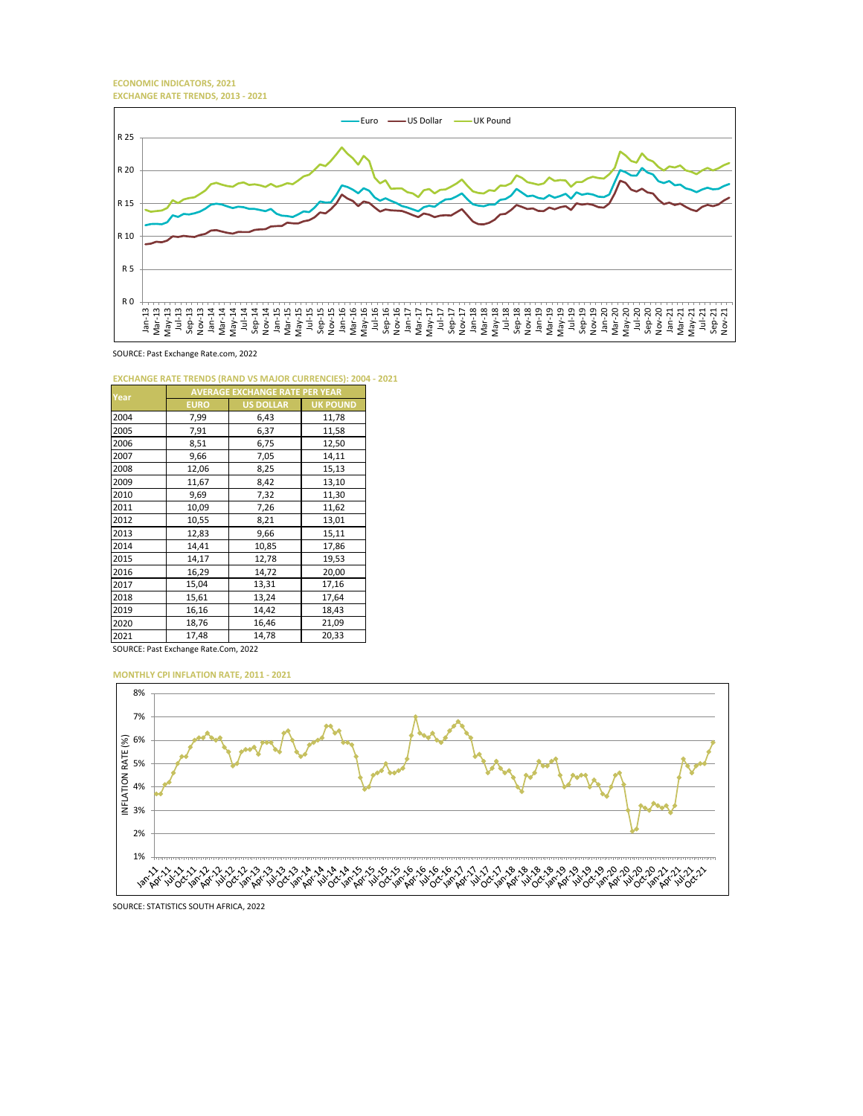**ECONOMIC INDICATORS, 2021 EXCHANGE RATE TRENDS, 2013 - 2021**



SOURCE: Past Exchange Rate.com, 2022

**EXCHANGE RATE TRENDS (RAND VS MAJOR CURRENCIES): 2004 - 2021**

| Year | <b>AVERAGE EXCHANGE RATE PER YEAR</b> |                  |                 |  |  |
|------|---------------------------------------|------------------|-----------------|--|--|
|      | <b>EURO</b>                           | <b>US DOLLAR</b> | <b>UK POUND</b> |  |  |
| 2004 | 7,99                                  | 6,43             | 11,78           |  |  |
| 2005 | 7,91                                  | 6,37             | 11,58           |  |  |
| 2006 | 8,51                                  | 6,75             | 12,50           |  |  |
| 2007 | 9,66                                  | 7,05             | 14,11           |  |  |
| 2008 | 12,06                                 | 8,25             | 15,13           |  |  |
| 2009 | 11,67                                 | 8,42             | 13,10           |  |  |
| 2010 | 9,69                                  | 7,32             | 11,30           |  |  |
| 2011 | 10,09                                 | 7,26             | 11,62           |  |  |
| 2012 | 10,55                                 | 8,21             | 13,01           |  |  |
| 2013 | 12,83                                 | 9,66             | 15,11           |  |  |
| 2014 | 14,41                                 | 10,85            | 17,86           |  |  |
| 2015 | 14,17                                 | 12,78            | 19,53           |  |  |
| 2016 | 16,29                                 | 14,72            | 20,00           |  |  |
| 2017 | 15,04                                 | 13,31            | 17,16           |  |  |
| 2018 | 15,61                                 | 13,24            | 17,64           |  |  |
| 2019 | 16,16                                 | 14,42            | 18,43           |  |  |
| 2020 | 18,76                                 | 16,46            | 21,09           |  |  |
| 2021 | 17,48                                 | 14,78            | 20,33           |  |  |

SOURCE: Past Exchange Rate.Com, 2022

**MONTHLY CPI INFLATION RATE, 2011 - 2021**



SOURCE: STATISTICS SOUTH AFRICA, 2022